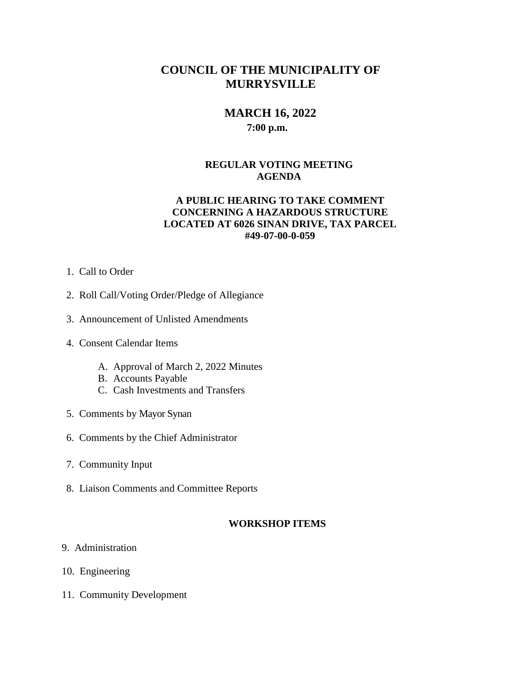# **COUNCIL OF THE MUNICIPALITY OF MURRYSVILLE**

## **MARCH 16, 2022 7:00 p.m.**

## **REGULAR VOTING MEETING AGENDA**

## **A PUBLIC HEARING TO TAKE COMMENT CONCERNING A HAZARDOUS STRUCTURE LOCATED AT 6026 SINAN DRIVE, TAX PARCEL #49-07-00-0-059**

- 1. Call to Order
- 2. Roll Call/Voting Order/Pledge of Allegiance
- 3. Announcement of Unlisted Amendments
- 4. Consent Calendar Items
	- A. Approval of March 2, 2022 Minutes
	- B. Accounts Payable
	- C. Cash Investments and Transfers
- 5. Comments by Mayor Synan
- 6. Comments by the Chief Administrator
- 7. Community Input
- 8. Liaison Comments and Committee Reports

#### **WORKSHOP ITEMS**

- 9. Administration
- 10. Engineering
- 11. Community Development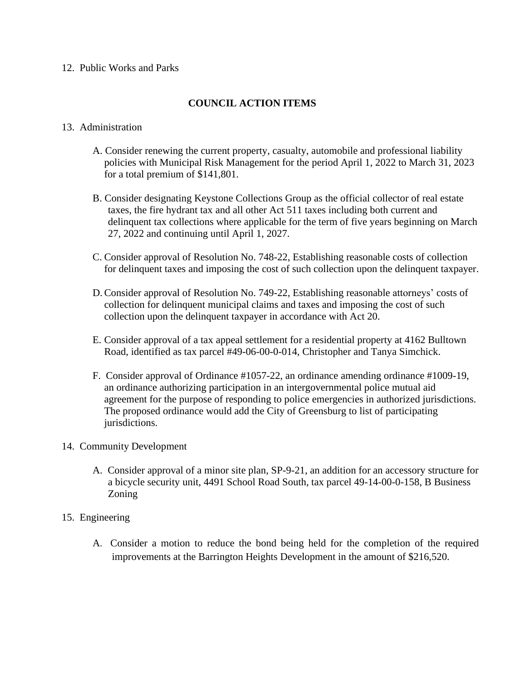#### 12. Public Works and Parks

## **COUNCIL ACTION ITEMS**

### 13. Administration

- A. Consider renewing the current property, casualty, automobile and professional liability policies with Municipal Risk Management for the period April 1, 2022 to March 31, 2023 for a total premium of \$141,801.
- B. Consider designating Keystone Collections Group as the official collector of real estate taxes, the fire hydrant tax and all other Act 511 taxes including both current and delinquent tax collections where applicable for the term of five years beginning on March 27, 2022 and continuing until April 1, 2027.
- C. Consider approval of Resolution No. 748-22, Establishing reasonable costs of collection for delinquent taxes and imposing the cost of such collection upon the delinquent taxpayer.
- D.Consider approval of Resolution No. 749-22, Establishing reasonable attorneys' costs of collection for delinquent municipal claims and taxes and imposing the cost of such collection upon the delinquent taxpayer in accordance with Act 20.
- E. Consider approval of a tax appeal settlement for a residential property at 4162 Bulltown Road, identified as tax parcel #49-06-00-0-014, Christopher and Tanya Simchick.
- F. Consider approval of Ordinance #1057-22, an ordinance amending ordinance #1009-19, an ordinance authorizing participation in an intergovernmental police mutual aid agreement for the purpose of responding to police emergencies in authorized jurisdictions. The proposed ordinance would add the City of Greensburg to list of participating jurisdictions.

#### 14. Community Development

- A. Consider approval of a minor site plan, SP-9-21, an addition for an accessory structure for a bicycle security unit, 4491 School Road South, tax parcel 49-14-00-0-158, B Business Zoning
- 15. Engineering
	- A. Consider a motion to reduce the bond being held for the completion of the required improvements at the Barrington Heights Development in the amount of \$216,520.